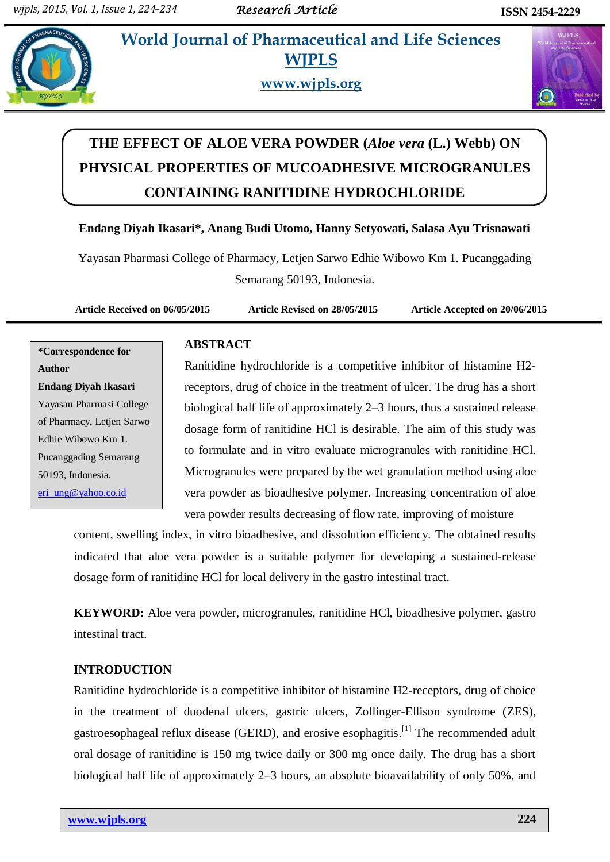## **Integral** *E* **World Journal of Pharmaceutical and Life Sciences WJPLS**



**www.wjpls.org**



# **THE EFFECT OF ALOE VERA POWDER (***Aloe vera* **(L.) Webb) ON PHYSICAL PROPERTIES OF MUCOADHESIVE MICROGRANULES CONTAINING RANITIDINE HYDROCHLORIDE**

## **Endang Diyah Ikasari\*, Anang Budi Utomo, Hanny Setyowati, Salasa Ayu Trisnawati**

Yayasan Pharmasi College of Pharmacy, Letjen Sarwo Edhie Wibowo Km 1. Pucanggading Semarang 50193, Indonesia.

**Article Received on 06/05/2015 Article Revised on 28/05/2015 Article Accepted on 20/06/2015**

**\*Correspondence for Author Endang Diyah Ikasari** Yayasan Pharmasi College of Pharmacy, Letjen Sarwo Edhie Wibowo Km 1. Pucanggading Semarang 50193, Indonesia. [eri\\_ung@yahoo.co.id](mailto:eri_ung@yahoo.co.id)

## **ABSTRACT**

Ranitidine hydrochloride is a competitive inhibitor of histamine H2 receptors, drug of choice in the treatment of ulcer. The drug has a short biological half life of approximately 2–3 hours, thus a sustained release dosage form of ranitidine HCl is desirable. The aim of this study was to formulate and in vitro evaluate microgranules with ranitidine HCl. Microgranules were prepared by the wet granulation method using aloe vera powder as bioadhesive polymer. Increasing concentration of aloe vera powder results decreasing of flow rate, improving of moisture

content, swelling index, in vitro bioadhesive, and dissolution efficiency. The obtained results indicated that aloe vera powder is a suitable polymer for developing a sustained-release dosage form of ranitidine HCl for local delivery in the gastro intestinal tract.

**KEYWORD:** Aloe vera powder, microgranules, ranitidine HCl, bioadhesive polymer, gastro intestinal tract.

## **INTRODUCTION**

Ranitidine hydrochloride is a competitive inhibitor of histamine H2-receptors, drug of choice in the treatment of duodenal ulcers, gastric ulcers, Zollinger-Ellison syndrome (ZES), gastroesophageal reflux disease (GERD), and erosive esophagitis.<sup>[1]</sup> The recommended adult oral dosage of ranitidine is 150 mg twice daily or 300 mg once daily. The drug has a short biological half life of approximately 2–3 hours, an absolute bioavailability of only 50%, and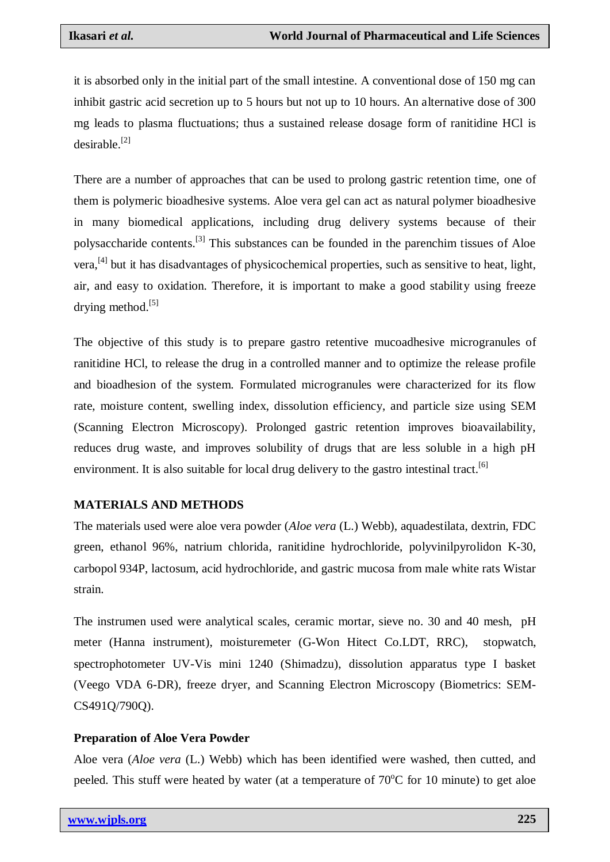it is absorbed only in the initial part of the small intestine. A conventional dose of 150 mg can inhibit gastric acid secretion up to 5 hours but not up to 10 hours. An alternative dose of 300 mg leads to plasma fluctuations; thus a sustained release dosage form of ranitidine HCl is desirable. [2]

There are a number of approaches that can be used to prolong gastric retention time, one of them is polymeric bioadhesive systems. Aloe vera gel can act as natural polymer bioadhesive in many biomedical applications, including drug delivery systems because of their polysaccharide contents.<sup>[3]</sup> This substances can be founded in the parenchim tissues of Aloe vera,<sup>[4]</sup> but it has disadvantages of physicochemical properties, such as sensitive to heat, light, air, and easy to oxidation. Therefore, it is important to make a good stability using freeze drying method.<sup>[5]</sup>

The objective of this study is to prepare gastro retentive mucoadhesive microgranules of ranitidine HCl, to release the drug in a controlled manner and to optimize the release profile and bioadhesion of the system. Formulated microgranules were characterized for its flow rate, moisture content, swelling index, dissolution efficiency, and particle size using SEM (Scanning Electron Microscopy). Prolonged gastric retention improves bioavailability, reduces drug waste, and improves solubility of drugs that are less soluble in a high pH environment. It is also suitable for local drug delivery to the gastro intestinal tract.<sup>[6]</sup>

## **MATERIALS AND METHODS**

The materials used were aloe vera powder (*Aloe vera* (L.) Webb), aquadestilata, dextrin, FDC green, ethanol 96%, natrium chlorida, ranitidine hydrochloride, polyvinilpyrolidon K-30, carbopol 934P, lactosum, acid hydrochloride, and gastric mucosa from male white rats Wistar strain.

The instrumen used were analytical scales, ceramic mortar, sieve no. 30 and 40 mesh, pH meter (Hanna instrument), moisturemeter (G-Won Hitect Co.LDT, RRC), stopwatch, spectrophotometer UV-Vis mini 1240 (Shimadzu), dissolution apparatus type I basket (Veego VDA 6-DR), freeze dryer, and Scanning Electron Microscopy (Biometrics: SEM-CS491Q/790Q).

## **Preparation of Aloe Vera Powder**

Aloe vera (*Aloe vera* (L.) Webb) which has been identified were washed, then cutted, and peeled. This stuff were heated by water (at a temperature of  $70^{\circ}$ C for 10 minute) to get aloe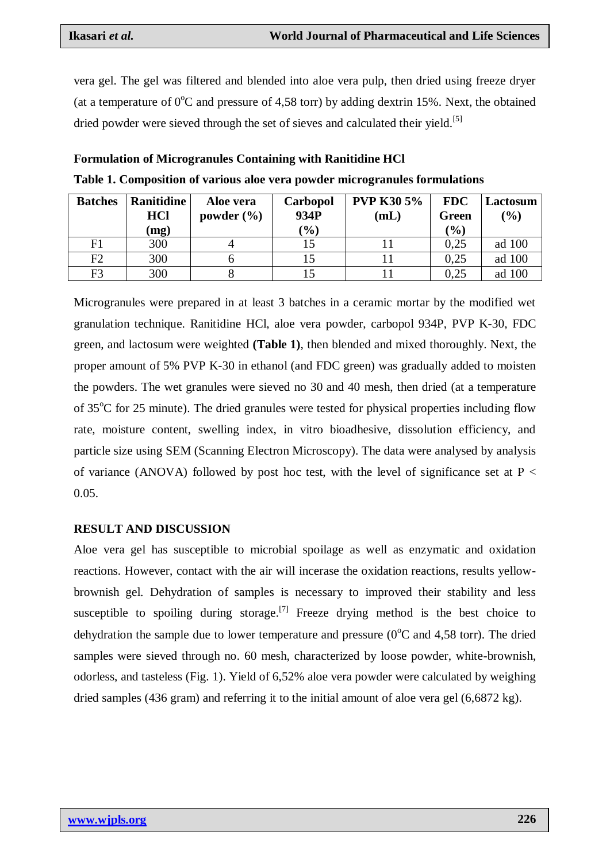vera gel. The gel was filtered and blended into aloe vera pulp, then dried using freeze dryer (at a temperature of  $0^{\circ}$ C and pressure of 4,58 torr) by adding dextrin 15%. Next, the obtained dried powder were sieved through the set of sieves and calculated their yield.<sup>[5]</sup>

| <b>Formulation of Microgranules Containing with Ranitidine HCI</b> |  |  |
|--------------------------------------------------------------------|--|--|
|--------------------------------------------------------------------|--|--|

| <b>Batches</b> | Ranitidine<br><b>HCl</b><br>(mg) | Aloe vera<br>powder $(\% )$ | Carbopol<br>934P<br>$(\%)$ | <b>PVP K30 5%</b><br>(mL) | <b>FDC</b><br><b>Green</b><br>$\frac{1}{2}$ | Lactosum<br>$\frac{1}{2}$ |
|----------------|----------------------------------|-----------------------------|----------------------------|---------------------------|---------------------------------------------|---------------------------|
| F1             | 300                              |                             | 15                         |                           | 0.25                                        | ad 100                    |
| F2             | 300                              |                             |                            |                           | 0.25                                        | ad 100                    |
| F3             | 300                              |                             |                            |                           | 0.25                                        | ad 100                    |

**Table 1. Composition of various aloe vera powder microgranules formulations**

Microgranules were prepared in at least 3 batches in a ceramic mortar by the modified wet granulation technique. Ranitidine HCl, aloe vera powder, carbopol 934P, PVP K-30, FDC green, and lactosum were weighted **(Table 1)**, then blended and mixed thoroughly. Next, the proper amount of 5% PVP K-30 in ethanol (and FDC green) was gradually added to moisten the powders. The wet granules were sieved no 30 and 40 mesh, then dried (at a temperature of  $35^{\circ}$ C for 25 minute). The dried granules were tested for physical properties including flow rate, moisture content, swelling index, in vitro bioadhesive, dissolution efficiency, and particle size using SEM (Scanning Electron Microscopy). The data were analysed by analysis of variance (ANOVA) followed by post hoc test, with the level of significance set at  $P <$ 0.05.

#### **RESULT AND DISCUSSION**

Aloe vera gel has susceptible to microbial spoilage as well as enzymatic and oxidation reactions. However, contact with the air will incerase the oxidation reactions, results yellowbrownish gel. Dehydration of samples is necessary to improved their stability and less susceptible to spoiling during storage.<sup>[7]</sup> Freeze drying method is the best choice to dehydration the sample due to lower temperature and pressure ( $0^{\circ}$ C and 4,58 torr). The dried samples were sieved through no. 60 mesh, characterized by loose powder, white-brownish, odorless, and tasteless (Fig. 1). Yield of 6,52% aloe vera powder were calculated by weighing dried samples (436 gram) and referring it to the initial amount of aloe vera gel (6,6872 kg).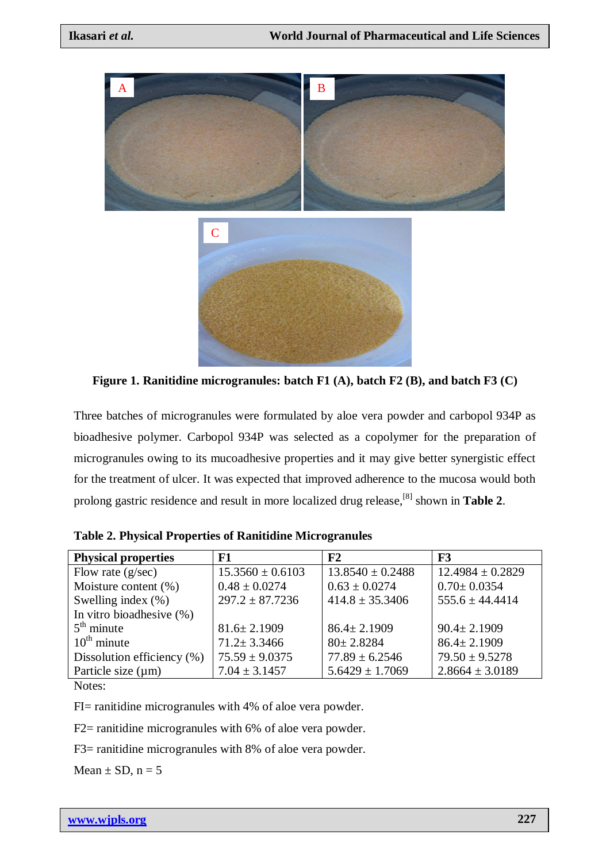

**Figure 1. Ranitidine microgranules: batch F1 (A), batch F2 (B), and batch F3 (C)**

Three batches of microgranules were formulated by aloe vera powder and carbopol 934P as bioadhesive polymer. Carbopol 934P was selected as a copolymer for the preparation of microgranules owing to its mucoadhesive properties and it may give better synergistic effect for the treatment of ulcer. It was expected that improved adherence to the mucosa would both prolong gastric residence and result in more localized drug release, [8] shown in **Table 2**.

| <b>Physical properties</b>    | F1                   | ${\bf F2}$           | F3                   |
|-------------------------------|----------------------|----------------------|----------------------|
| Flow rate $(g/sec)$           | $15.3560 \pm 0.6103$ | $13.8540 \pm 0.2488$ | $12.4984 \pm 0.2829$ |
| Moisture content $(\%)$       | $0.48 \pm 0.0274$    | $0.63 \pm 0.0274$    | $0.70 \pm 0.0354$    |
| Swelling index $(\% )$        | $297.2 \pm 87.7236$  | $414.8 \pm 35.3406$  | $555.6 \pm 44.4414$  |
| In vitro bioadhesive (%)      |                      |                      |                      |
| $5th$ minute                  | $81.6 \pm 2.1909$    | $86.4 \pm 2.1909$    | $90.4 \pm 2.1909$    |
| $10^{\text{th}}$ minute       | $71.2 \pm 3.3466$    | $80 \pm 2.8284$      | $86.4 \pm 2.1909$    |
| Dissolution efficiency $(\%)$ | $75.59 \pm 9.0375$   | $77.89 \pm 6.2546$   | $79.50 \pm 9.5278$   |
| Particle size $(\mu m)$       | $7.04 \pm 3.1457$    | $5.6429 \pm 1.7069$  | $2.8664 \pm 3.0189$  |
|                               |                      |                      |                      |

Notes:

FI= ranitidine microgranules with 4% of aloe vera powder.

F2= ranitidine microgranules with 6% of aloe vera powder.

F3= ranitidine microgranules with 8% of aloe vera powder.

Mean  $\pm$  SD, n = 5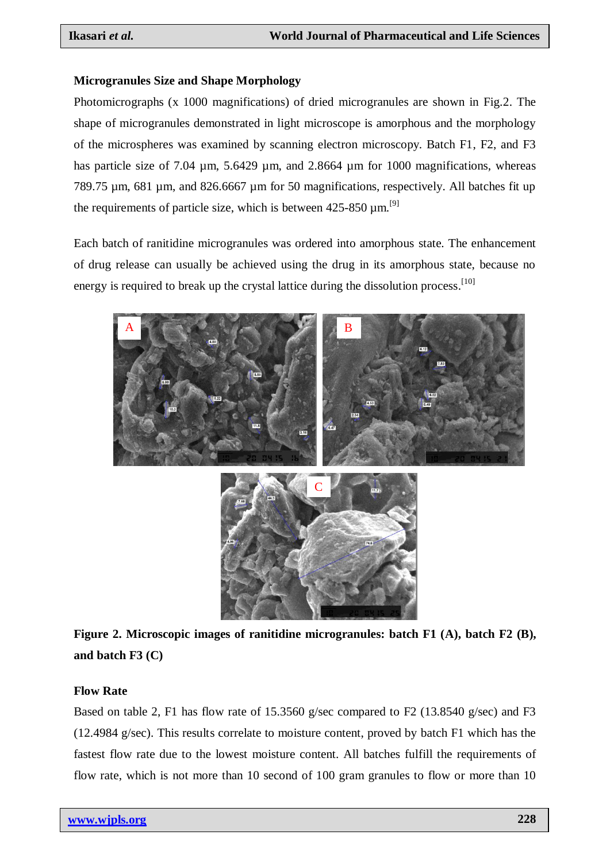## **Microgranules Size and Shape Morphology**

Photomicrographs (x 1000 magnifications) of dried microgranules are shown in Fig.2. The shape of microgranules demonstrated in light microscope is amorphous and the morphology of the microspheres was examined by scanning electron microscopy. Batch F1, F2, and F3 has particle size of 7.04 um, 5.6429 um, and 2.8664 um for 1000 magnifications, whereas 789.75 µm, 681 µm, and 826.6667 µm for 50 magnifications, respectively. All batches fit up the requirements of particle size, which is between  $425-850 \mu m$ .<sup>[9]</sup>

Each batch of ranitidine microgranules was ordered into amorphous state. The enhancement of drug release can usually be achieved using the drug in its amorphous state, because no energy is required to break up the crystal lattice during the dissolution process.<sup>[10]</sup>



**Figure 2. Microscopic images of ranitidine microgranules: batch F1 (A), batch F2 (B), and batch F3 (C)**

## **Flow Rate**

Based on table 2, F1 has flow rate of 15.3560 g/sec compared to F2 (13.8540 g/sec) and F3 (12.4984 g/sec). This results correlate to moisture content, proved by batch F1 which has the fastest flow rate due to the lowest moisture content. All batches fulfill the requirements of flow rate, which is not more than 10 second of 100 gram granules to flow or more than 10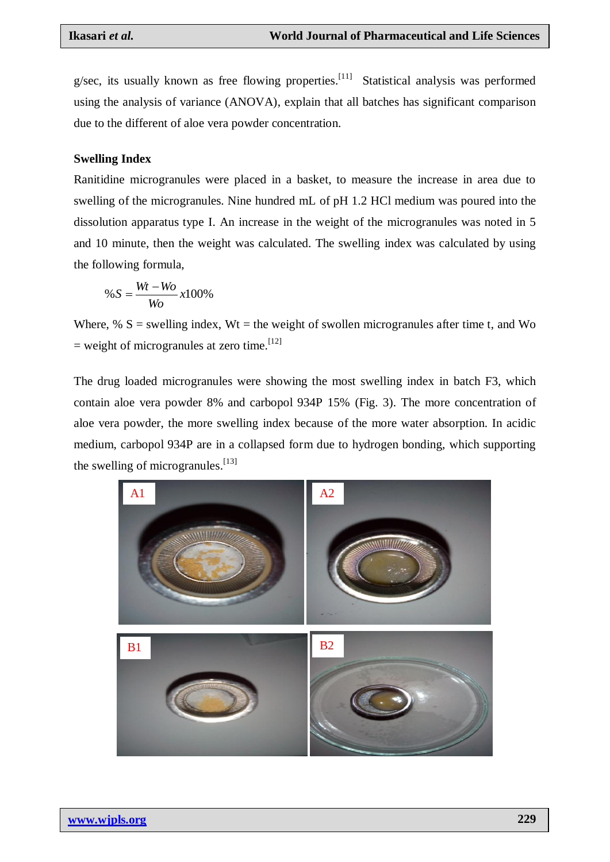g/sec, its usually known as free flowing properties.<sup>[11]</sup> Statistical analysis was performed using the analysis of variance (ANOVA), explain that all batches has significant comparison due to the different of aloe vera powder concentration.

#### **Swelling Index**

Ranitidine microgranules were placed in a basket, to measure the increase in area due to swelling of the microgranules. Nine hundred mL of pH 1.2 HCl medium was poured into the dissolution apparatus type I. An increase in the weight of the microgranules was noted in 5 and 10 minute, then the weight was calculated. The swelling index was calculated by using the following formula,

$$
\%S = \frac{Wt - Wo}{Wo}x100\%
$$

Where, %  $S =$  swelling index,  $Wt =$  the weight of swollen microgranules after time t, and Wo  $=$  weight of microgranules at zero time.<sup>[12]</sup>

The drug loaded microgranules were showing the most swelling index in batch F3, which contain aloe vera powder 8% and carbopol 934P 15% (Fig. 3). The more concentration of aloe vera powder, the more swelling index because of the more water absorption. In acidic medium, carbopol 934P are in a collapsed form due to hydrogen bonding, which supporting the swelling of microgranules.<sup>[13]</sup>

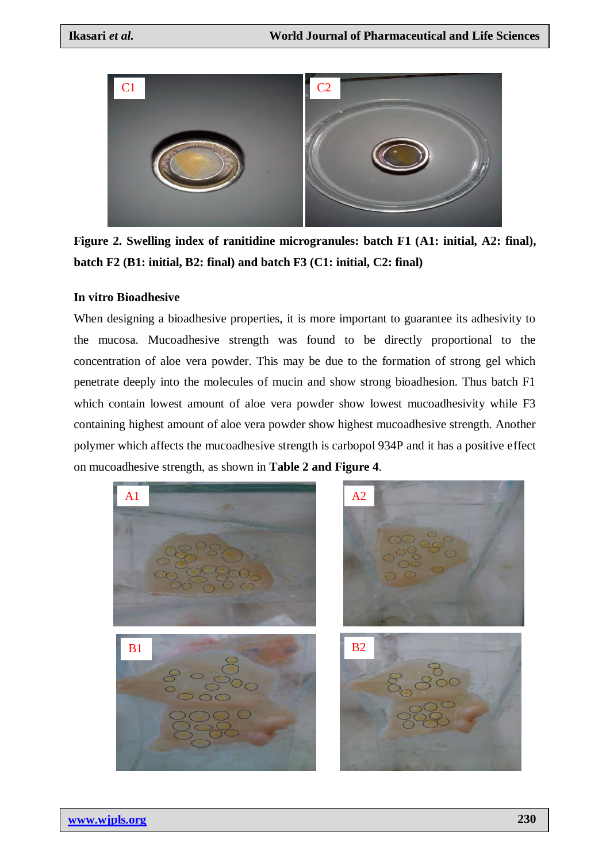

**Figure 2. Swelling index of ranitidine microgranules: batch F1 (A1: initial, A2: final), batch F2 (B1: initial, B2: final) and batch F3 (C1: initial, C2: final)**

#### **In vitro Bioadhesive**

When designing a bioadhesive properties, it is more important to guarantee its adhesivity to the mucosa. Mucoadhesive strength was found to be directly proportional to the concentration of aloe vera powder. This may be due to the formation of strong gel which penetrate deeply into the molecules of mucin and show strong bioadhesion. Thus batch F1 which contain lowest amount of aloe vera powder show lowest mucoadhesivity while F3 containing highest amount of aloe vera powder show highest mucoadhesive strength. Another polymer which affects the mucoadhesive strength is carbopol 934P and it has a positive effect on mucoadhesive strength, as shown in **Table 2 and Figure 4**.

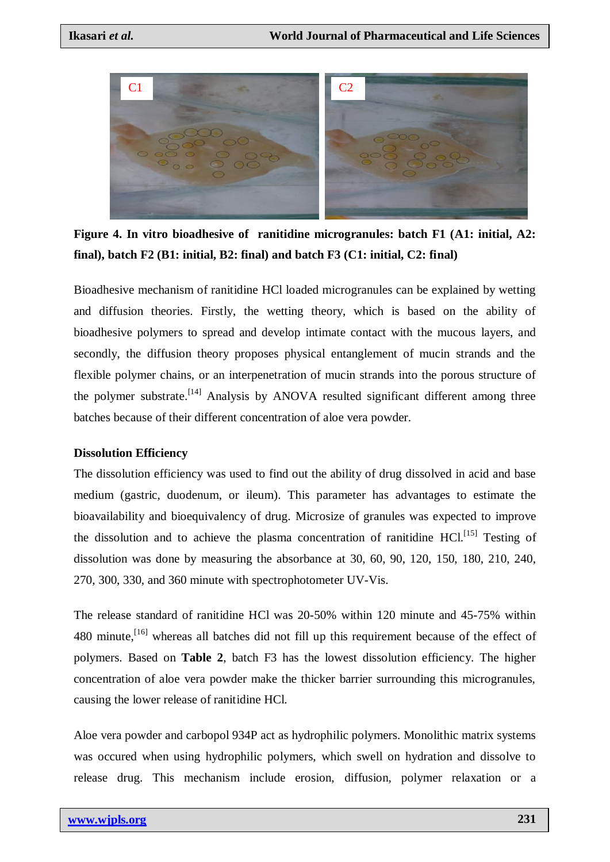

**Figure 4. In vitro bioadhesive of ranitidine microgranules: batch F1 (A1: initial, A2: final), batch F2 (B1: initial, B2: final) and batch F3 (C1: initial, C2: final)**

Bioadhesive mechanism of ranitidine HCl loaded microgranules can be explained by wetting and diffusion theories. Firstly, the wetting theory, which is based on the ability of bioadhesive polymers to spread and develop intimate contact with the mucous layers, and secondly, the diffusion theory proposes physical entanglement of mucin strands and the flexible polymer chains, or an interpenetration of mucin strands into the porous structure of the polymer substrate.<sup>[14]</sup> Analysis by ANOVA resulted significant different among three batches because of their different concentration of aloe vera powder.

## **Dissolution Efficiency**

The dissolution efficiency was used to find out the ability of drug dissolved in acid and base medium (gastric, duodenum, or ileum). This parameter has advantages to estimate the bioavailability and bioequivalency of drug. Microsize of granules was expected to improve the dissolution and to achieve the plasma concentration of ranitidine  $HCl<sup>[15]</sup>$  Testing of dissolution was done by measuring the absorbance at 30, 60, 90, 120, 150, 180, 210, 240, 270, 300, 330, and 360 minute with spectrophotometer UV-Vis.

The release standard of ranitidine HCl was 20-50% within 120 minute and 45-75% within 480 minute,  $[16]$  whereas all batches did not fill up this requirement because of the effect of polymers. Based on **Table 2**, batch F3 has the lowest dissolution efficiency. The higher concentration of aloe vera powder make the thicker barrier surrounding this microgranules, causing the lower release of ranitidine HCl.

Aloe vera powder and carbopol 934P act as hydrophilic polymers. Monolithic matrix systems was occured when using hydrophilic polymers, which swell on hydration and dissolve to release drug. This mechanism include erosion, diffusion, polymer relaxation or a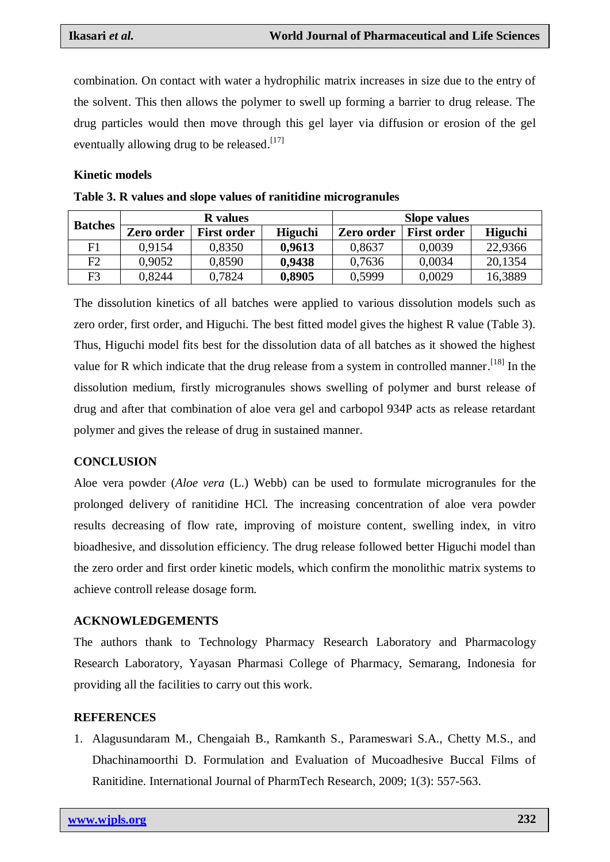combination. On contact with water a hydrophilic matrix increases in size due to the entry of the solvent. This then allows the polymer to swell up forming a barrier to drug release. The drug particles would then move through this gel layer via diffusion or erosion of the gel eventually allowing drug to be released.<sup>[17]</sup>

#### **Kinetic models**

| <b>Batches</b> | <b>R</b> values |                    |         | <b>Slope values</b> |                    |         |
|----------------|-----------------|--------------------|---------|---------------------|--------------------|---------|
|                | Zero order      | <b>First order</b> | Higuchi | <b>Zero order</b>   | <b>First order</b> | Higuchi |
| F1             | 0.9154          | 0,8350             | 0,9613  | 0,8637              | 0,0039             | 22,9366 |
| F2             | 0,9052          | 0,8590             | 0,9438  | 0,7636              | 0,0034             | 20,1354 |
| F3             | 0.8244          | 0,7824             | 0,8905  | 0,5999              | 0,0029             | 16,3889 |

**Table 3. R values and slope values of ranitidine microgranules**

The dissolution kinetics of all batches were applied to various dissolution models such as zero order, first order, and Higuchi. The best fitted model gives the highest R value (Table 3). Thus, Higuchi model fits best for the dissolution data of all batches as it showed the highest value for R which indicate that the drug release from a system in controlled manner.<sup>[18]</sup> In the dissolution medium, firstly microgranules shows swelling of polymer and burst release of drug and after that combination of aloe vera gel and carbopol 934P acts as release retardant polymer and gives the release of drug in sustained manner.

## **CONCLUSION**

Aloe vera powder (*Aloe vera* (L.) Webb) can be used to formulate microgranules for the prolonged delivery of ranitidine HCl. The increasing concentration of aloe vera powder results decreasing of flow rate, improving of moisture content, swelling index, in vitro bioadhesive, and dissolution efficiency. The drug release followed better Higuchi model than the zero order and first order kinetic models, which confirm the monolithic matrix systems to achieve controll release dosage form.

## **ACKNOWLEDGEMENTS**

The authors thank to Technology Pharmacy Research Laboratory and Pharmacology Research Laboratory, Yayasan Pharmasi College of Pharmacy, Semarang, Indonesia for providing all the facilities to carry out this work.

## **REFERENCES**

1. Alagusundaram M., Chengaiah B., Ramkanth S., Parameswari S.A., Chetty M.S., and Dhachinamoorthi D. Formulation and Evaluation of Mucoadhesive Buccal Films of Ranitidine. International Journal of PharmTech Research, 2009; 1(3): 557-563.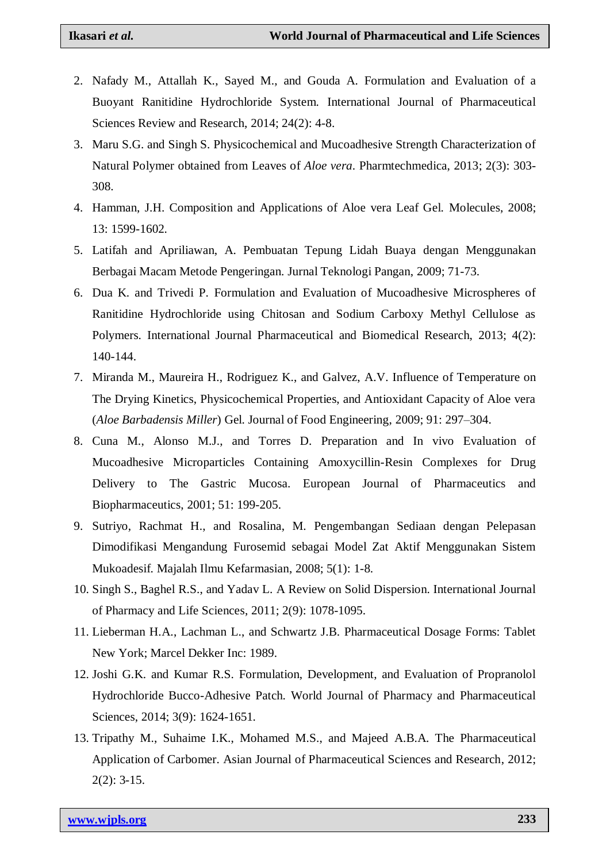- 2. Nafady M., Attallah K., Sayed M., and Gouda A. Formulation and Evaluation of a Buoyant Ranitidine Hydrochloride System. International Journal of Pharmaceutical Sciences Review and Research, 2014; 24(2): 4-8.
- 3. Maru S.G. and Singh S. Physicochemical and Mucoadhesive Strength Characterization of Natural Polymer obtained from Leaves of *Aloe vera*. Pharmtechmedica, 2013; 2(3): 303- 308.
- 4. Hamman, J.H. Composition and Applications of Aloe vera Leaf Gel. Molecules, 2008; 13: 1599-1602.
- 5. Latifah and Apriliawan, A. Pembuatan Tepung Lidah Buaya dengan Menggunakan Berbagai Macam Metode Pengeringan. Jurnal Teknologi Pangan, 2009; 71-73.
- 6. Dua K. and Trivedi P. Formulation and Evaluation of Mucoadhesive Microspheres of Ranitidine Hydrochloride using Chitosan and Sodium Carboxy Methyl Cellulose as Polymers. International Journal Pharmaceutical and Biomedical Research, 2013; 4(2): 140-144.
- 7. Miranda M., Maureira H., Rodriguez K., and Galvez, A.V. Influence of Temperature on The Drying Kinetics, Physicochemical Properties, and Antioxidant Capacity of Aloe vera (*Aloe Barbadensis Miller*) Gel. Journal of Food Engineering, 2009; 91: 297–304.
- 8. Cuna M., Alonso M.J., and Torres D. Preparation and In vivo Evaluation of Mucoadhesive Microparticles Containing Amoxycillin-Resin Complexes for Drug Delivery to The Gastric Mucosa. European Journal of Pharmaceutics and Biopharmaceutics, 2001; 51: 199-205.
- 9. Sutriyo, Rachmat H., and Rosalina, M. Pengembangan Sediaan dengan Pelepasan Dimodifikasi Mengandung Furosemid sebagai Model Zat Aktif Menggunakan Sistem Mukoadesif. Majalah Ilmu Kefarmasian, 2008; 5(1): 1-8.
- 10. Singh S., Baghel R.S., and Yadav L. A Review on Solid Dispersion. International Journal of Pharmacy and Life Sciences, 2011; 2(9): 1078-1095.
- 11. Lieberman H.A., Lachman L., and Schwartz J.B. Pharmaceutical Dosage Forms: Tablet New York; Marcel Dekker Inc: 1989.
- 12. Joshi G.K. and Kumar R.S. Formulation, Development, and Evaluation of Propranolol Hydrochloride Bucco-Adhesive Patch. World Journal of Pharmacy and Pharmaceutical Sciences, 2014; 3(9): 1624-1651.
- 13. Tripathy M., Suhaime I.K., Mohamed M.S., and Majeed A.B.A. The Pharmaceutical Application of Carbomer. Asian Journal of Pharmaceutical Sciences and Research, 2012; 2(2): 3-15.